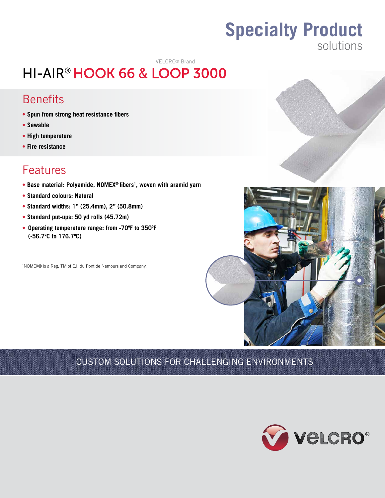# **Specialty Product** solutions

# VELCRO® Brand

# HI-AIR® HOOK 66 & LOOP 3000

# **Benefits**

- **• Spun from strong heat resistance fibers**
- **• Sewable**
- **High temperature**
- **Fire resistance**

# Features

- **Base material: Polyamide, NOMEX® fibers<sup>1</sup> , woven with aramid yarn**
- **Standard colours: Natural**
- **Standard widths: 1" (25.4mm), 2" (50.8mm)**
- **Standard put-ups: 50 yd rolls (45.72m)**
- **• Operating temperature range: from -70ºF to 350ºF (-56.7ºC to 176.7ºC)**

1 NOMEX® is a Reg. TM of E.I. du Pont de Nemours and Company.





# CUSTOM SOLUTIONS FOR CHALLENGING ENVIRONMENTS